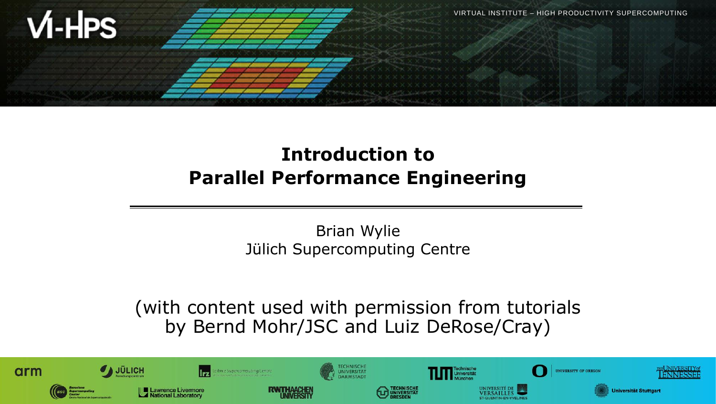

## **Introduction to Parallel Performance Engineering**

Brian Wylie Jülich Supercomputing Centre

(with content used with permission from tutorials by Bernd Mohr/JSC and Luiz DeRose/Cray)

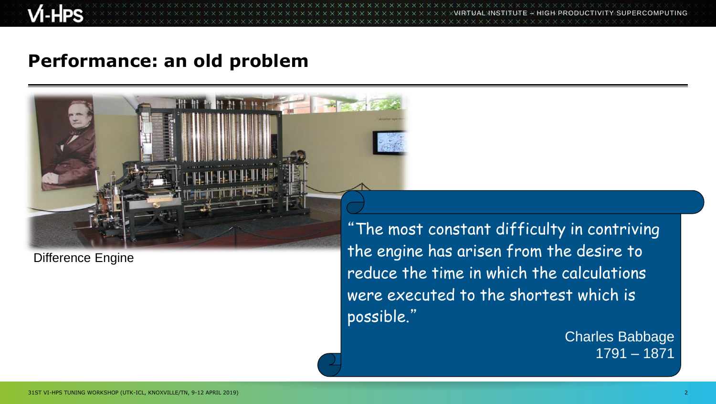$\times$   $\times$   $\times$   $\times$   $\times$  WRTUAL INSTITUTE  $\times$  HIGH PRODUCTIVITY SUPERCOMPUTING

#### **Performance: an old problem**

#### Difference Engine

"The most constant difficulty in contriving the engine has arisen from the desire to reduce the time in which the calculations were executed to the shortest which is possible."

> Charles Babbage 1791 – 1871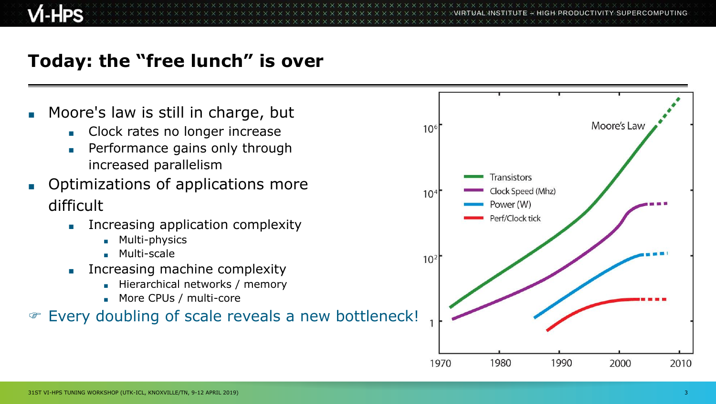## **Today: the "free lunch" is over**

- Moore's law is still in charge, but
	- Clock rates no longer increase
	- Performance gains only through increased parallelism
- Optimizations of applications more difficult
	- Increasing application complexity
		- Multi-physics
		- Multi-scale
	- Increasing machine complexity
		- Hierarchical networks / memory
		- More CPUs / multi-core

#### **Every doubling of scale reveals a new bottleneck!**

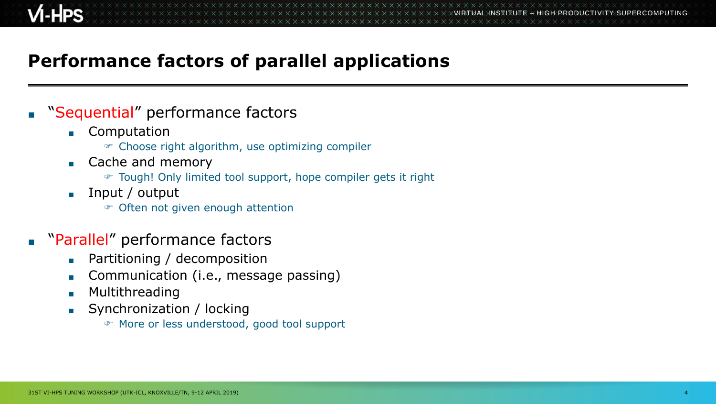## **Performance factors of parallel applications**

- "Sequential" performance factors
	- Computation
		- Choose right algorithm, use optimizing compiler
	- Cache and memory
		- Tough! Only limited tool support, hope compiler gets it right
	- Input / output
		- Often not given enough attention
- "Parallel" performance factors
	- Partitioning / decomposition
	- Communication (i.e., message passing)
	- Multithreading
	- Synchronization / locking
		- More or less understood, good tool support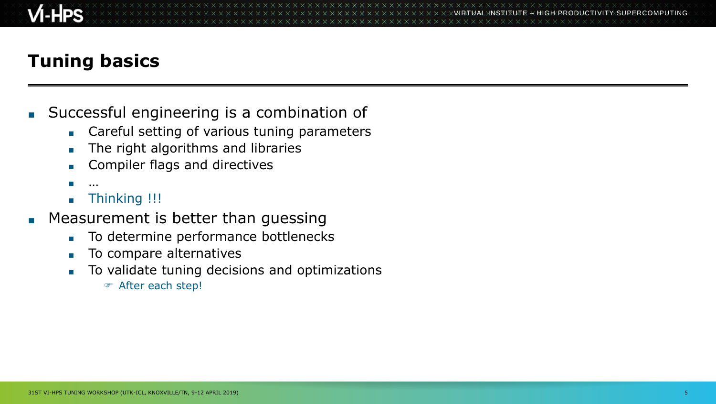## **Tuning basics**

- Successful engineering is a combination of
	- Careful setting of various tuning parameters
	- The right algorithms and libraries
	- Compiler flags and directives
	- …
	- Thinking !!!
- Measurement is better than guessing
	- To determine performance bottlenecks
	- To compare alternatives
	- To validate tuning decisions and optimizations
		- After each step!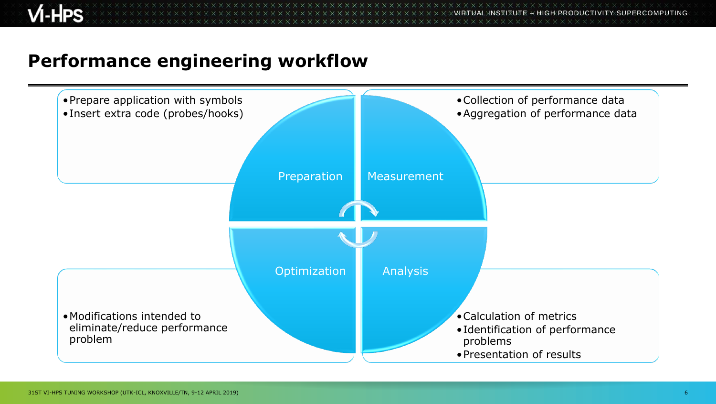**x x x x x x x x x x x x**  $\times\times\times\times\times\times\times\times\times$ VIRTUAL INSTITUTE  $\times$  HIGH PRODUCTIVITY SUPERCOMPUTING

#### **Performance engineering workflow**

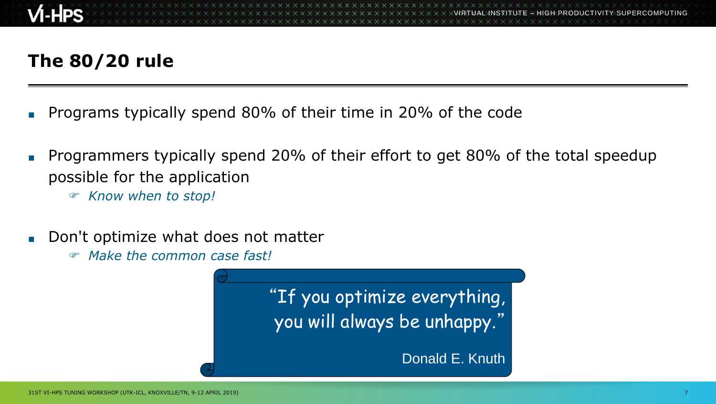## **The 80/20 rule**

- Programs typically spend 80% of their time in 20% of the code
- Programmers typically spend 20% of their effort to get 80% of the total speedup possible for the application
	- *Know when to stop!*
- Don't optimize what does not matter
	- *Make the common case fast!*

"If you optimize everything, you will always be unhappy."

Donald E. Knuth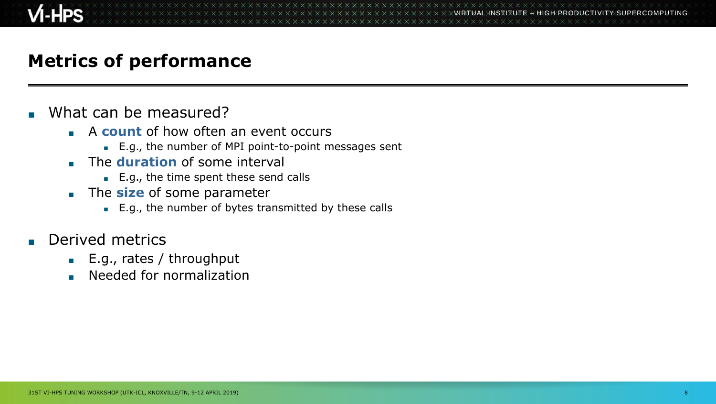### **Metrics of performance**

- What can be measured?
	- A **count** of how often an event occurs
		- E.g., the number of MPI point-to-point messages sent
	- **The duration** of some interval
		- E.g., the time spent these send calls
	- **The size** of some parameter
		- E.g., the number of bytes transmitted by these calls
- Derived metrics
	- E.g., rates / throughput
	- Needed for normalization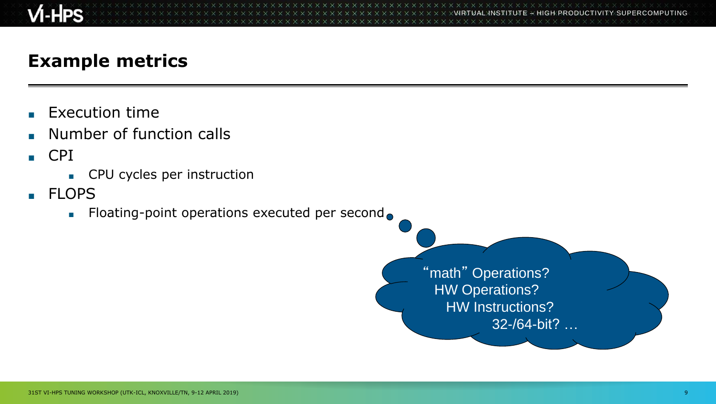

**x x x x x x x x x x x x x**  $X$  $X$  $X$  $X$  $X$  $X$  $X$  $X$  $X$  $N$ RTUAL $N$ NSTITUTE  $X$  HIGH PRODUCTIVITY SUPERCOMPUTING

#### **Example metrics**

- **Execution time**
- Number of function calls
- CPI
	- CPU cycles per instruction
- FLOPS
	- Floating-point operations executed per second●

"math" Operations? HW Operations? HW Instructions? 32-/64-bit? …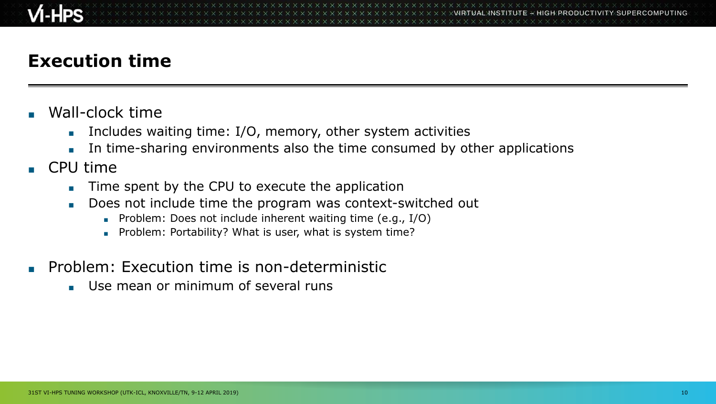## **Execution time**

- Wall-clock time
	- **Includes waiting time: I/O, memory, other system activities**
	- In time-sharing environments also the time consumed by other applications
- CPU time
	- Time spent by the CPU to execute the application
	- Does not include time the program was context-switched out
		- Problem: Does not include inherent waiting time (e.g., I/O)
		- Problem: Portability? What is user, what is system time?
- Problem: Execution time is non-deterministic
	- Use mean or minimum of several runs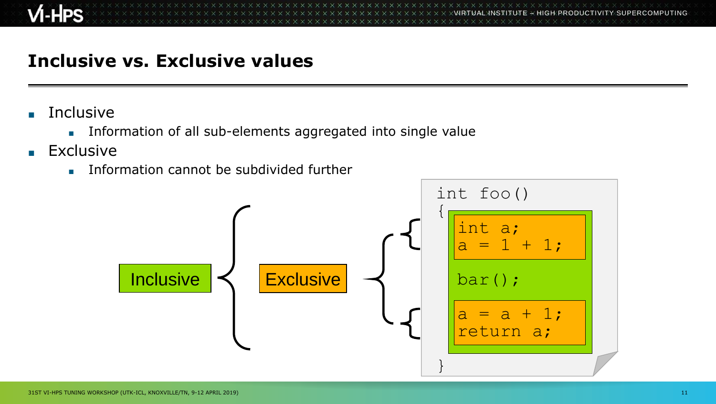### **Inclusive vs. Exclusive values**

- **Inclusive** 
	- Information of all sub-elements aggregated into single value
- Exclusive
	- Information cannot be subdivided further

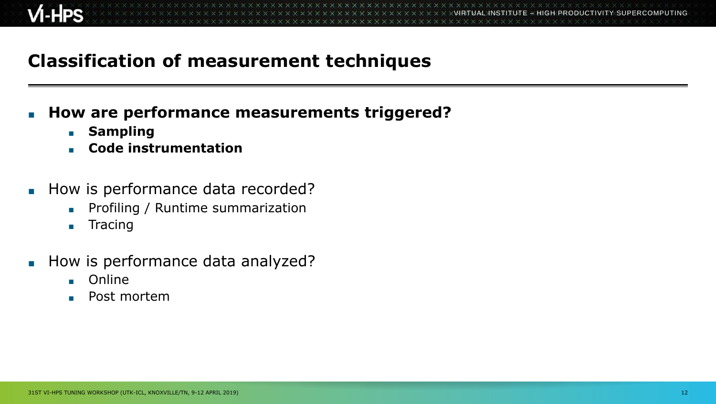### **Classification of measurement techniques**

#### **How are performance measurements triggered?**

- **Sampling**
- **Code instrumentation**
- How is performance data recorded?
	- Profiling / Runtime summarization
	- Tracing
- How is performance data analyzed?
	- Online
	- Post mortem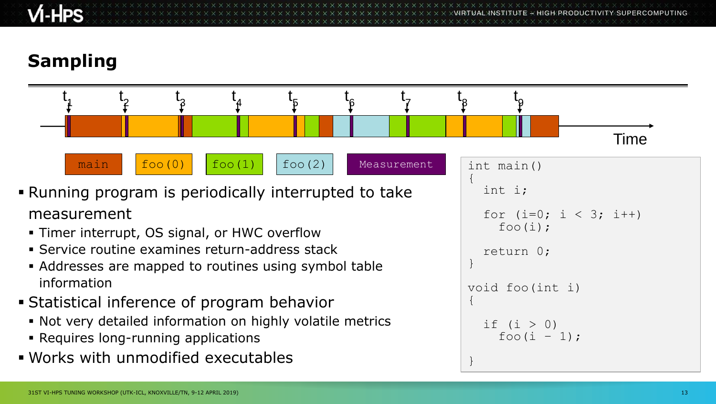$\times$   $\times$   $\times$   $\times$   $\times$  WRTUAL INSTITUTE

# **Sampling**

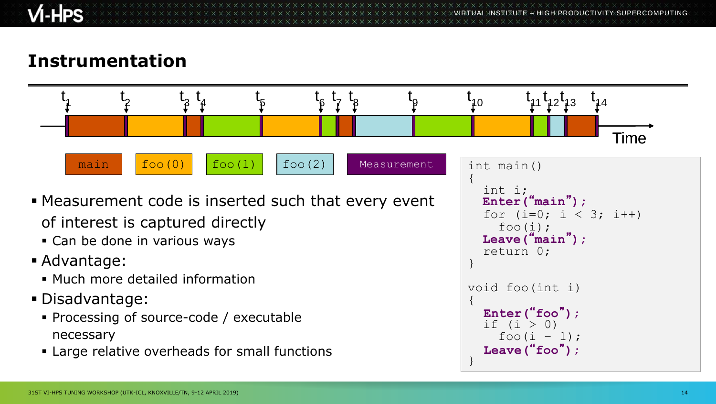VIRTUAL INSTITUTE – HIGH PRODUCTIVITY SUPERCOMPUTING

### **Instrumentation**

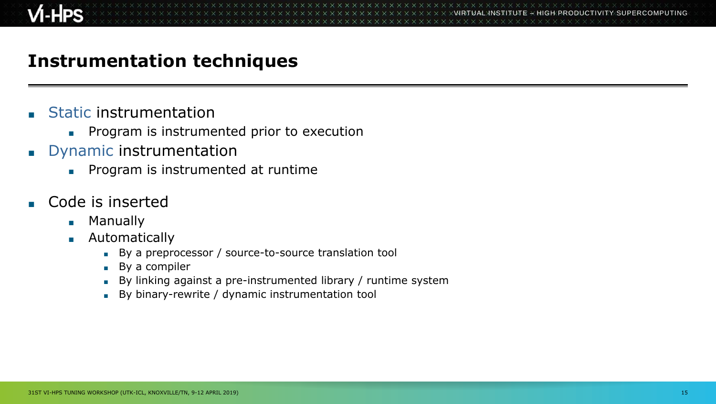#### **Instrumentation techniques**

- **Static instrumentation** 
	- Program is instrumented prior to execution
- Dynamic instrumentation
	- Program is instrumented at runtime
- Code is inserted
	- Manually
	- Automatically
		- By a preprocessor / source-to-source translation tool
		- By a compiler
		- By linking against a pre-instrumented library / runtime system
		- By binary-rewrite / dynamic instrumentation tool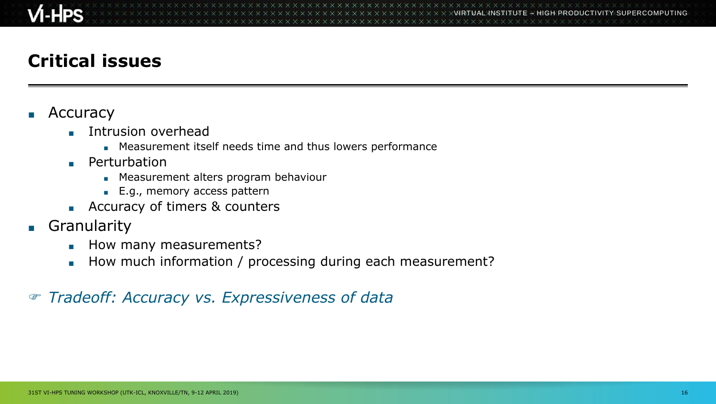## **Critical issues**

#### **Accuracy**

- Intrusion overhead
	- Measurement itself needs time and thus lowers performance
- Perturbation
	- Measurement alters program behaviour
	- E.g., memory access pattern
- Accuracy of timers & counters
- Granularity
	- How many measurements?
	- How much information / processing during each measurement?

#### *Tradeoff: Accuracy vs. Expressiveness of data*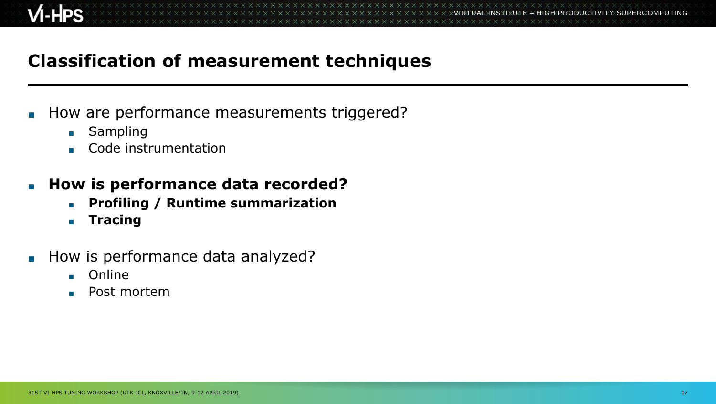### **Classification of measurement techniques**

- How are performance measurements triggered?
	- Sampling
	- Code instrumentation
- **How is performance data recorded?** 
	- **Profiling / Runtime summarization**
	- **Tracing**
- How is performance data analyzed?
	- Online
	- Post mortem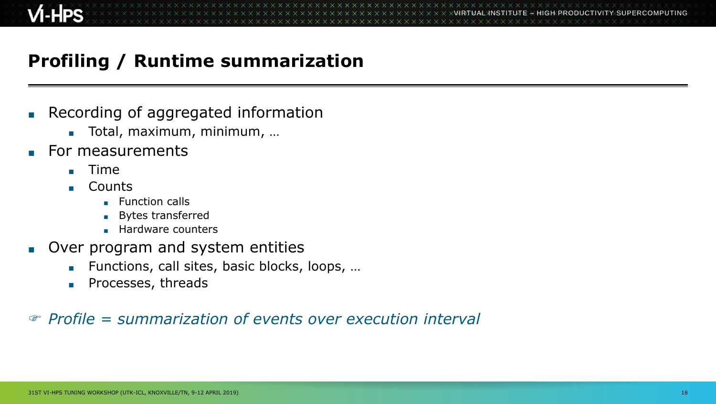## **Profiling / Runtime summarization**

- Recording of aggregated information
	- Total, maximum, minimum, ...
- For measurements
	- Time
	- Counts
		- Function calls
		- Bytes transferred
		- Hardware counters
- Over program and system entities
	- Functions, call sites, basic blocks, loops, ...
	- Processes, threads

*Profile = summarization of events over execution interval*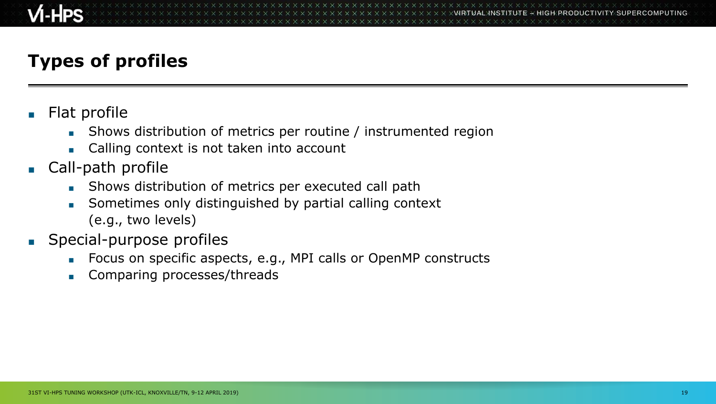## **Types of profiles**

- Flat profile
	- Shows distribution of metrics per routine / instrumented region
	- Calling context is not taken into account
- Call-path profile
	- Shows distribution of metrics per executed call path
	- Sometimes only distinguished by partial calling context (e.g., two levels)
- Special-purpose profiles
	- Focus on specific aspects, e.g., MPI calls or OpenMP constructs
	- Comparing processes/threads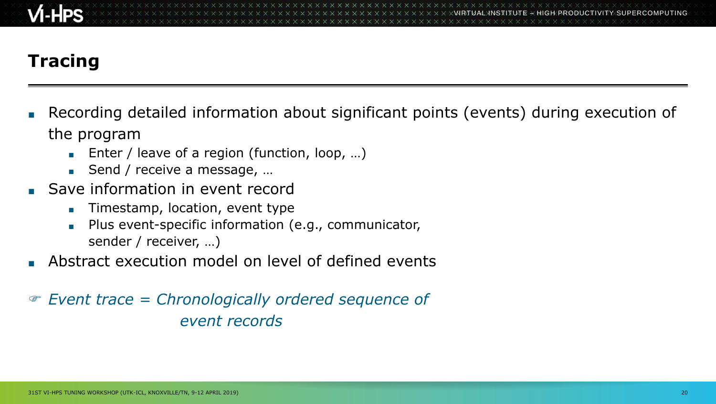## **Tracing**

- Recording detailed information about significant points (events) during execution of the program
	- Enter / leave of a region (function, loop, ...)
	- Send / receive a message, ...
- Save information in event record
	- Timestamp, location, event type
	- Plus event-specific information (e.g., communicator, sender / receiver, …)
- Abstract execution model on level of defined events
- *Event trace = Chronologically ordered sequence of event records*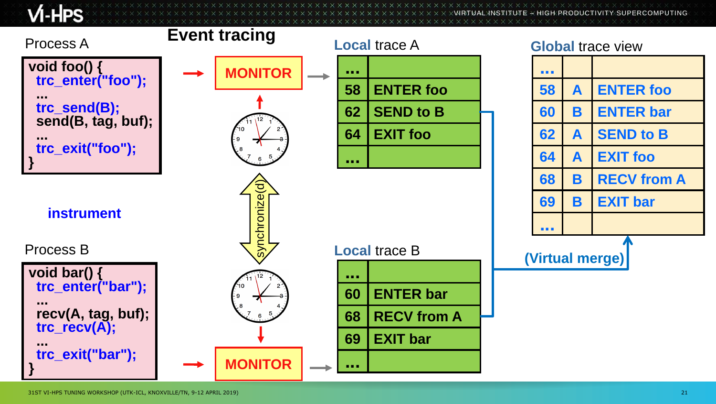$M$ -HPS

 $\times$ VIRTUAL $\times$ IITUTE $\times$  HIGH PRODUCTIVITY SUPERCOMPUTING

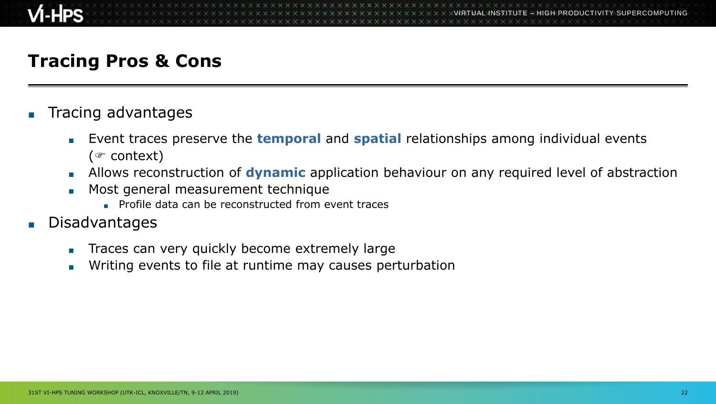#### **Tracing Pros & Cons**

- Tracing advantages
	- Event traces preserve the **temporal** and **spatial** relationships among individual events ( $\in$  context)
	- **Allows reconstruction of dynamic** application behaviour on any required level of abstraction
	- Most general measurement technique
		- Profile data can be reconstructed from event traces
- **Disadvantages** 
	- Traces can very quickly become extremely large
	- Writing events to file at runtime may causes perturbation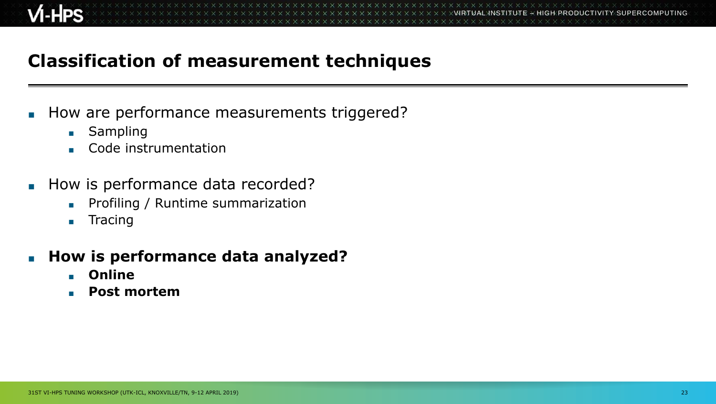### **Classification of measurement techniques**

- How are performance measurements triggered?
	- Sampling
	- Code instrumentation
- How is performance data recorded?
	- Profiling / Runtime summarization
	- Tracing
- **How is performance data analyzed?** 
	- **Online**
	- **Post mortem**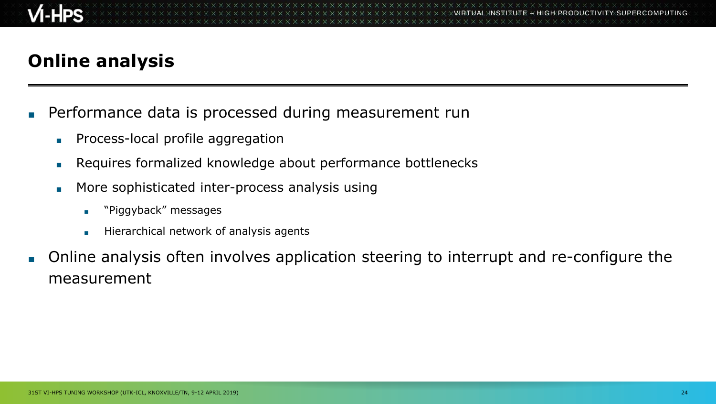## **Online analysis**

- Performance data is processed during measurement run
	- Process-local profile aggregation
	- Requires formalized knowledge about performance bottlenecks
	- More sophisticated inter-process analysis using
		- "Piggyback" messages
		- Hierarchical network of analysis agents
- Online analysis often involves application steering to interrupt and re-configure the measurement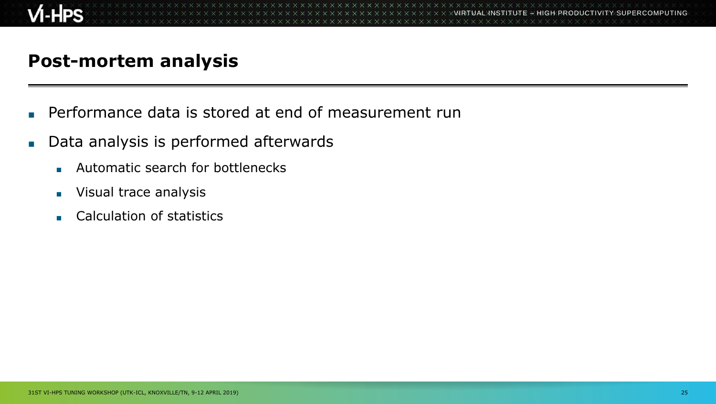#### **Post-mortem analysis**

- Performance data is stored at end of measurement run
- Data analysis is performed afterwards
	- Automatic search for bottlenecks
	- Visual trace analysis
	- Calculation of statistics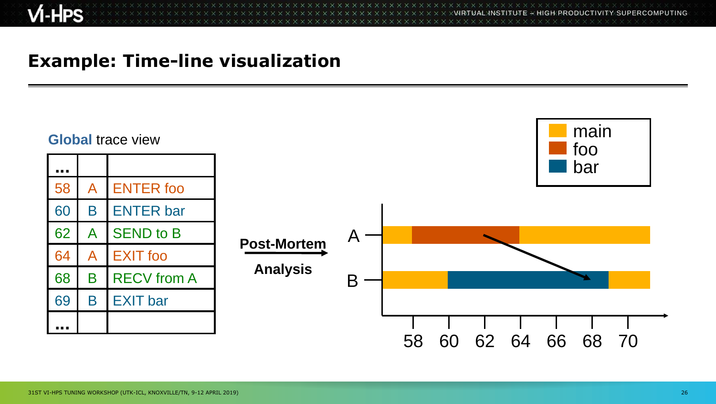$X \times X \times X \times X \times X \times X \times X \times X \times X \times X \times X \times Y$ WRTUAL INSTITUTE  $\div$  HIGH PRODUCTIVITY SUPERCOMPUTING 

#### **Example: Time-line visualization**

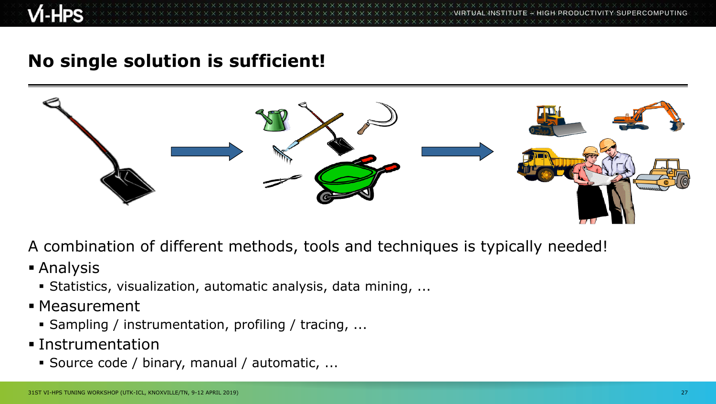VIRTUAL INSTITUTE – HIGH PRODUCTIVITY SUPERCOMPUTING

#### **No single solution is sufficient!**



A combination of different methods, tools and techniques is typically needed!

- Analysis
	- Statistics, visualization, automatic analysis, data mining, ...
- **Measurement** 
	- Sampling / instrumentation, profiling / tracing, ...
- Instrumentation
	- Source code / binary, manual / automatic, ...